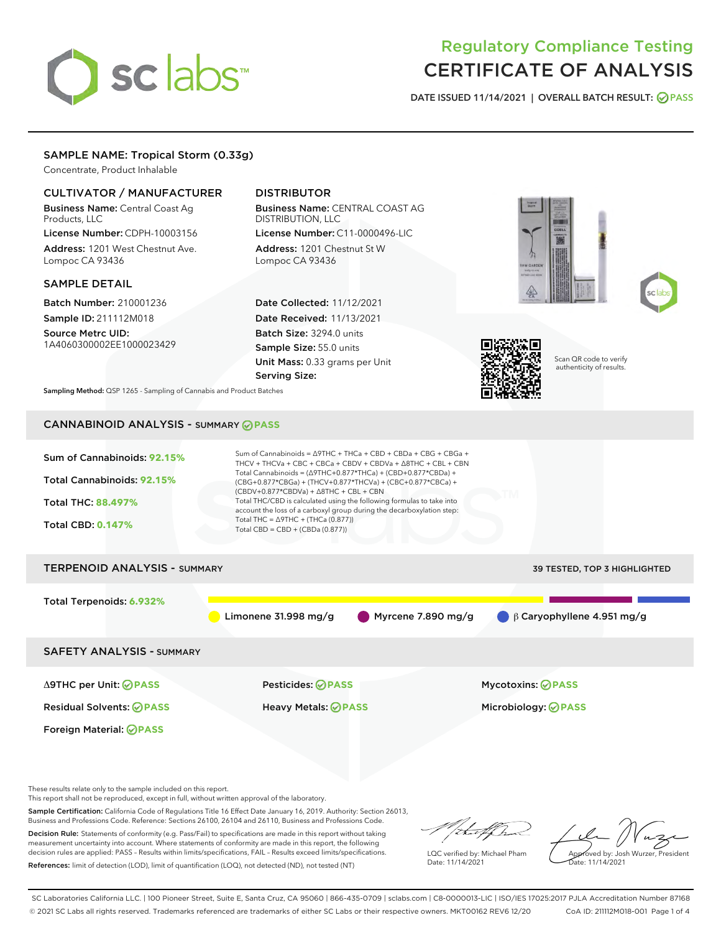# sclabs<sup>\*</sup>

# Regulatory Compliance Testing CERTIFICATE OF ANALYSIS

DATE ISSUED 11/14/2021 | OVERALL BATCH RESULT: @ PASS

# SAMPLE NAME: Tropical Storm (0.33g)

Concentrate, Product Inhalable

# CULTIVATOR / MANUFACTURER

Business Name: Central Coast Ag Products, LLC

License Number: CDPH-10003156 Address: 1201 West Chestnut Ave. Lompoc CA 93436

# SAMPLE DETAIL

Batch Number: 210001236 Sample ID: 211112M018

Source Metrc UID: 1A4060300002EE1000023429

# DISTRIBUTOR

Business Name: CENTRAL COAST AG DISTRIBUTION, LLC License Number: C11-0000496-LIC

Address: 1201 Chestnut St W Lompoc CA 93436

Date Collected: 11/12/2021 Date Received: 11/13/2021 Batch Size: 3294.0 units Sample Size: 55.0 units Unit Mass: 0.33 grams per Unit Serving Size:







Scan QR code to verify authenticity of results.

Sampling Method: QSP 1265 - Sampling of Cannabis and Product Batches

# CANNABINOID ANALYSIS - SUMMARY **PASS**

| Sum of Cannabinoids: 92.15%<br>Total Cannabinoids: 92.15%<br><b>Total THC: 88.497%</b><br><b>Total CBD: 0.147%</b> | Sum of Cannabinoids = $\triangle$ 9THC + THCa + CBD + CBDa + CBG + CBGa +<br>THCV + THCVa + CBC + CBCa + CBDV + CBDVa + $\land$ 8THC + CBL + CBN<br>Total Cannabinoids = $(\Delta$ 9THC+0.877*THCa) + (CBD+0.877*CBDa) +<br>(CBG+0.877*CBGa) + (THCV+0.877*THCVa) + (CBC+0.877*CBCa) +<br>$(CBDV+0.877*CBDVa) + \Delta 8THC + CBL + CBN$<br>Total THC/CBD is calculated using the following formulas to take into<br>account the loss of a carboxyl group during the decarboxylation step:<br>Total THC = $\triangle$ 9THC + (THCa (0.877))<br>Total CBD = $CBD + (CBDa (0.877))$ |                                                        |  |  |  |  |  |
|--------------------------------------------------------------------------------------------------------------------|-----------------------------------------------------------------------------------------------------------------------------------------------------------------------------------------------------------------------------------------------------------------------------------------------------------------------------------------------------------------------------------------------------------------------------------------------------------------------------------------------------------------------------------------------------------------------------------|--------------------------------------------------------|--|--|--|--|--|
| <b>TERPENOID ANALYSIS - SUMMARY</b>                                                                                |                                                                                                                                                                                                                                                                                                                                                                                                                                                                                                                                                                                   | 39 TESTED, TOP 3 HIGHLIGHTED                           |  |  |  |  |  |
| Total Terpenoids: 6.932%                                                                                           | Limonene 31.998 mg/g                                                                                                                                                                                                                                                                                                                                                                                                                                                                                                                                                              | Myrcene 7.890 mg/g<br>$\beta$ Garyophyllene 4.951 mg/g |  |  |  |  |  |
| <b>SAFETY ANALYSIS - SUMMARY</b>                                                                                   |                                                                                                                                                                                                                                                                                                                                                                                                                                                                                                                                                                                   |                                                        |  |  |  |  |  |
| ∆9THC per Unit: ⊘PASS                                                                                              | Pesticides: ⊘PASS                                                                                                                                                                                                                                                                                                                                                                                                                                                                                                                                                                 | <b>Mycotoxins: ⊘PASS</b>                               |  |  |  |  |  |
| <b>Residual Solvents: ⊘PASS</b>                                                                                    | Heavy Metals: <b>OPASS</b>                                                                                                                                                                                                                                                                                                                                                                                                                                                                                                                                                        | Microbiology: <b>OPASS</b>                             |  |  |  |  |  |
| Foreign Material: <b>⊘ PASS</b>                                                                                    |                                                                                                                                                                                                                                                                                                                                                                                                                                                                                                                                                                                   |                                                        |  |  |  |  |  |

These results relate only to the sample included on this report.

This report shall not be reproduced, except in full, without written approval of the laboratory.

Sample Certification: California Code of Regulations Title 16 Effect Date January 16, 2019. Authority: Section 26013, Business and Professions Code. Reference: Sections 26100, 26104 and 26110, Business and Professions Code.

Decision Rule: Statements of conformity (e.g. Pass/Fail) to specifications are made in this report without taking measurement uncertainty into account. Where statements of conformity are made in this report, the following decision rules are applied: PASS – Results within limits/specifications, FAIL – Results exceed limits/specifications. References: limit of detection (LOD), limit of quantification (LOQ), not detected (ND), not tested (NT)

/ital/h

LQC verified by: Michael Pham Date: 11/14/2021

Approved by: Josh Wurzer, President Date: 11/14/2021

SC Laboratories California LLC. | 100 Pioneer Street, Suite E, Santa Cruz, CA 95060 | 866-435-0709 | sclabs.com | C8-0000013-LIC | ISO/IES 17025:2017 PJLA Accreditation Number 87168 © 2021 SC Labs all rights reserved. Trademarks referenced are trademarks of either SC Labs or their respective owners. MKT00162 REV6 12/20 CoA ID: 211112M018-001 Page 1 of 4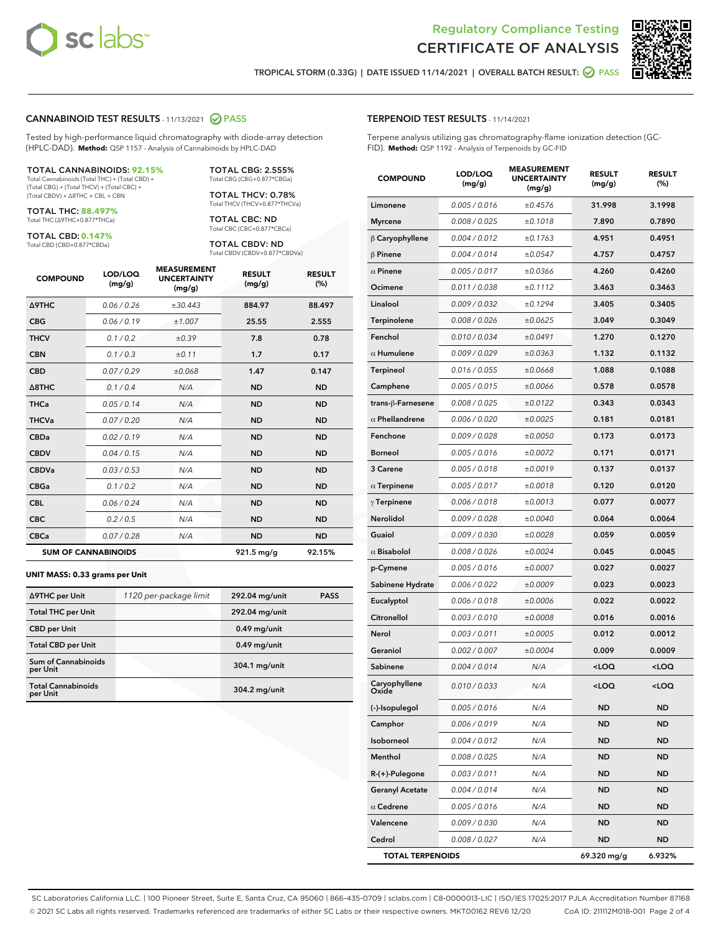



TROPICAL STORM (0.33G) | DATE ISSUED 11/14/2021 | OVERALL BATCH RESULT: **@** PASS

#### CANNABINOID TEST RESULTS - 11/13/2021 2 PASS

Tested by high-performance liquid chromatography with diode-array detection (HPLC-DAD). **Method:** QSP 1157 - Analysis of Cannabinoids by HPLC-DAD

#### TOTAL CANNABINOIDS: **92.15%**

Total Cannabinoids (Total THC) + (Total CBD) + (Total CBG) + (Total THCV) + (Total CBC) + (Total CBDV) + ∆8THC + CBL + CBN

TOTAL THC: **88.497%** Total THC (∆9THC+0.877\*THCa)

TOTAL CBD: **0.147%**

Total CBD (CBD+0.877\*CBDa)

TOTAL CBG: 2.555% Total CBG (CBG+0.877\*CBGa)

TOTAL THCV: 0.78% Total THCV (THCV+0.877\*THCVa)

TOTAL CBC: ND Total CBC (CBC+0.877\*CBCa)

TOTAL CBDV: ND Total CBDV (CBDV+0.877\*CBDVa)

| <b>COMPOUND</b>            | LOD/LOQ<br>(mg/g) | <b>MEASUREMENT</b><br><b>UNCERTAINTY</b><br>(mg/g) | <b>RESULT</b><br>(mg/g) | <b>RESULT</b><br>(%) |
|----------------------------|-------------------|----------------------------------------------------|-------------------------|----------------------|
| <b>A9THC</b>               | 0.06 / 0.26       | ±30.443                                            | 884.97                  | 88.497               |
| <b>CBG</b>                 | 0.06/0.19         | ±1.007                                             | 25.55                   | 2.555                |
| <b>THCV</b>                | 0.1 / 0.2         | ±0.39                                              | 7.8                     | 0.78                 |
| <b>CBN</b>                 | 0.1/0.3           | ±0.11                                              | 1.7                     | 0.17                 |
| <b>CBD</b>                 | 0.07/0.29         | ±0.068                                             | 1.47                    | 0.147                |
| $\triangle$ 8THC           | 0.1/0.4           | N/A                                                | <b>ND</b>               | <b>ND</b>            |
| <b>THCa</b>                | 0.05/0.14         | N/A                                                | <b>ND</b>               | <b>ND</b>            |
| <b>THCVa</b>               | 0.07/0.20         | N/A                                                | <b>ND</b>               | <b>ND</b>            |
| <b>CBDa</b>                | 0.02/0.19         | N/A                                                | <b>ND</b>               | <b>ND</b>            |
| <b>CBDV</b>                | 0.04/0.15         | N/A                                                | <b>ND</b>               | <b>ND</b>            |
| <b>CBDVa</b>               | 0.03/0.53         | N/A                                                | <b>ND</b>               | <b>ND</b>            |
| <b>CBGa</b>                | 0.1/0.2           | N/A                                                | <b>ND</b>               | <b>ND</b>            |
| <b>CBL</b>                 | 0.06 / 0.24       | N/A                                                | <b>ND</b>               | <b>ND</b>            |
| <b>CBC</b>                 | 0.2 / 0.5         | N/A                                                | <b>ND</b>               | <b>ND</b>            |
| <b>CBCa</b>                | 0.07 / 0.28       | N/A                                                | <b>ND</b>               | <b>ND</b>            |
| <b>SUM OF CANNABINOIDS</b> |                   |                                                    | 921.5 mg/g              | 92.15%               |

#### **UNIT MASS: 0.33 grams per Unit**

| ∆9THC per Unit                         | 1120 per-package limit | 292.04 mg/unit | <b>PASS</b> |
|----------------------------------------|------------------------|----------------|-------------|
| <b>Total THC per Unit</b>              |                        | 292.04 mg/unit |             |
| <b>CBD</b> per Unit                    |                        | $0.49$ mg/unit |             |
| <b>Total CBD per Unit</b>              |                        | $0.49$ mg/unit |             |
| <b>Sum of Cannabinoids</b><br>per Unit |                        | 304.1 mg/unit  |             |
| <b>Total Cannabinoids</b><br>per Unit  |                        | 304.2 mg/unit  |             |

| <b>COMPOUND</b>         | LOD/LOQ<br>(mg/g) | ៶៰៴៲៶៲៲៲៲<br><b>UNCERTAINTY</b><br>(mg/g) | <b>RESULT</b><br>(mg/g)                         | <b>RESULT</b><br>$(\%)$ |
|-------------------------|-------------------|-------------------------------------------|-------------------------------------------------|-------------------------|
| Limonene                | 0.005 / 0.016     | ±0.4576                                   | 31.998                                          | 3.1998                  |
| Myrcene                 | 0.008 / 0.025     | ±0.1018                                   | 7.890                                           | 0.7890                  |
| $\beta$ Caryophyllene   | 0.004 / 0.012     | ±0.1763                                   | 4.951                                           | 0.4951                  |
| $\beta$ Pinene          | 0.004 / 0.014     | ±0.0547                                   | 4.757                                           | 0.4757                  |
| $\alpha$ Pinene         | 0.005 / 0.017     | ±0.0366                                   | 4.260                                           | 0.4260                  |
| Ocimene                 | 0.011 / 0.038     | ±0.1112                                   | 3.463                                           | 0.3463                  |
| Linalool                | 0.009 / 0.032     | ±0.1294                                   | 3.405                                           | 0.3405                  |
| Terpinolene             | 0.008 / 0.026     | ±0.0625                                   | 3.049                                           | 0.3049                  |
| Fenchol                 | 0.010 / 0.034     | ±0.0491                                   | 1.270                                           | 0.1270                  |
| $\alpha$ Humulene       | 0.009 / 0.029     | ±0.0363                                   | 1.132                                           | 0.1132                  |
| <b>Terpineol</b>        | 0.016 / 0.055     | ±0.0668                                   | 1.088                                           | 0.1088                  |
| Camphene                | 0.005 / 0.015     | ±0.0066                                   | 0.578                                           | 0.0578                  |
| trans-ß-Farnesene       | 0.008 / 0.025     | ±0.0122                                   | 0.343                                           | 0.0343                  |
| $\alpha$ Phellandrene   | 0.006 / 0.020     | ±0.0025                                   | 0.181                                           | 0.0181                  |
| Fenchone                | 0.009 / 0.028     | ±0.0050                                   | 0.173                                           | 0.0173                  |
| <b>Borneol</b>          | 0.005 / 0.016     | ±0.0072                                   | 0.171                                           | 0.0171                  |
| 3 Carene                | 0.005 / 0.018     | ±0.0019                                   | 0.137                                           | 0.0137                  |
| $\alpha$ Terpinene      | 0.005 / 0.017     | ±0.0018                                   | 0.120                                           | 0.0120                  |
| $\gamma$ Terpinene      | 0.006 / 0.018     | ±0.0013                                   | 0.077                                           | 0.0077                  |
| Nerolidol               | 0.009 / 0.028     | ±0.0040                                   | 0.064                                           | 0.0064                  |
| Guaiol                  | 0.009 / 0.030     | ±0.0028                                   | 0.059                                           | 0.0059                  |
| $\alpha$ Bisabolol      | 0.008 / 0.026     | ±0.0024                                   | 0.045                                           | 0.0045                  |
| p-Cymene                | 0.005 / 0.016     | ±0.0007                                   | 0.027                                           | 0.0027                  |
| Sabinene Hydrate        | 0.006 / 0.022     | ±0.0009                                   | 0.023                                           | 0.0023                  |
| Eucalyptol              | 0.006 / 0.018     | ±0.0006                                   | 0.022                                           | 0.0022                  |
| Citronellol             | 0.003 / 0.010     | ±0.0008                                   | 0.016                                           | 0.0016                  |
| Nerol                   | 0.003 / 0.011     | ±0.0005                                   | 0.012                                           | 0.0012                  |
| Geraniol                | 0.002 / 0.007     | ±0.0004                                   | 0.009                                           | 0.0009                  |
| Sabinene                | 0.004 / 0.014     | N/A                                       | <loq< th=""><th><loq< th=""></loq<></th></loq<> | <loq< th=""></loq<>     |
| Caryophyllene<br>Oxide  | 0.010 / 0.033     | N/A                                       | <loq< th=""><th><loq< th=""></loq<></th></loq<> | <loq< th=""></loq<>     |
| (-)-Isopulegol          | 0.005 / 0.016     | N/A                                       | ND                                              | <b>ND</b>               |
| Camphor                 | 0.006 / 0.019     | N/A                                       | ND                                              | ND                      |
| Isoborneol              | 0.004 / 0.012     | N/A                                       | <b>ND</b>                                       | ND                      |
| Menthol                 | 0.008 / 0.025     | N/A                                       | ND                                              | ND                      |
| R-(+)-Pulegone          | 0.003 / 0.011     | N/A                                       | ND                                              | <b>ND</b>               |
| <b>Geranyl Acetate</b>  | 0.004 / 0.014     | N/A                                       | <b>ND</b>                                       | ND                      |
| $\alpha$ Cedrene        | 0.005 / 0.016     | N/A                                       | ND                                              | ND                      |
| Valencene               | 0.009 / 0.030     | N/A                                       | ND                                              | ND                      |
| Cedrol                  | 0.008 / 0.027     | N/A                                       | <b>ND</b>                                       | ND                      |
| <b>TOTAL TERPENOIDS</b> |                   |                                           | 69.320 mg/g                                     | 6.932%                  |

SC Laboratories California LLC. | 100 Pioneer Street, Suite E, Santa Cruz, CA 95060 | 866-435-0709 | sclabs.com | C8-0000013-LIC | ISO/IES 17025:2017 PJLA Accreditation Number 87168 © 2021 SC Labs all rights reserved. Trademarks referenced are trademarks of either SC Labs or their respective owners. MKT00162 REV6 12/20 CoA ID: 211112M018-001 Page 2 of 4

# TERPENOID TEST RESULTS - 11/14/2021

Terpene analysis utilizing gas chromatography-flame ionization detection (GC-FID). **Method:** QSP 1192 - Analysis of Terpenoids by GC-FID

MEACUREMENT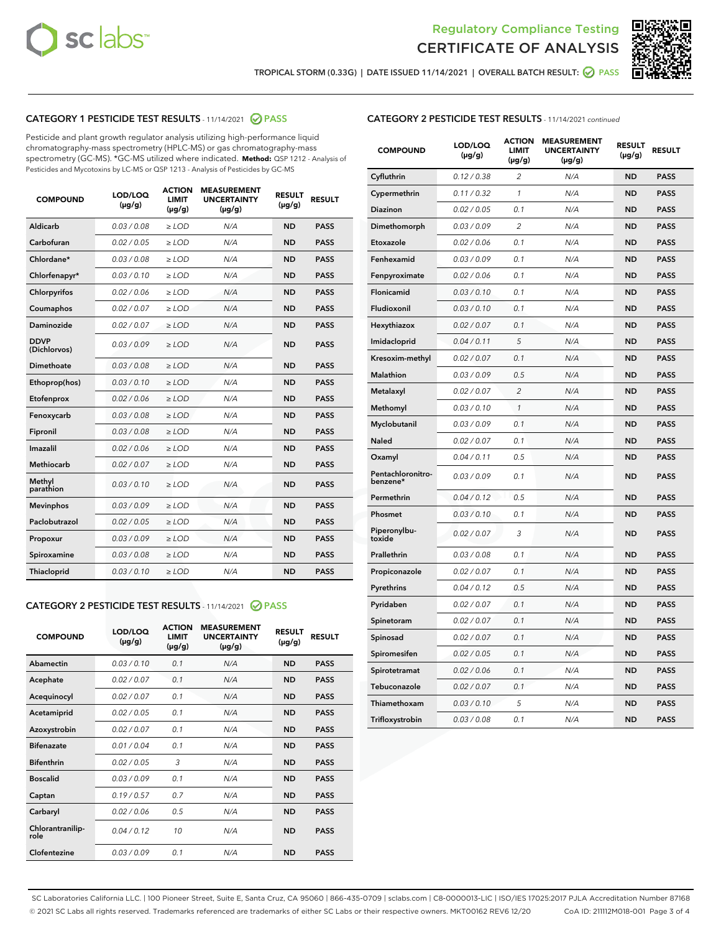



TROPICAL STORM (0.33G) | DATE ISSUED 11/14/2021 | OVERALL BATCH RESULT: @ PASS

# CATEGORY 1 PESTICIDE TEST RESULTS - 11/14/2021 2 PASS

Pesticide and plant growth regulator analysis utilizing high-performance liquid chromatography-mass spectrometry (HPLC-MS) or gas chromatography-mass spectrometry (GC-MS). \*GC-MS utilized where indicated. **Method:** QSP 1212 - Analysis of Pesticides and Mycotoxins by LC-MS or QSP 1213 - Analysis of Pesticides by GC-MS

| <b>COMPOUND</b>             | LOD/LOQ<br>$(\mu g/g)$ | <b>ACTION</b><br><b>LIMIT</b><br>$(\mu g/g)$ | <b>MEASUREMENT</b><br><b>UNCERTAINTY</b><br>$(\mu g/g)$ | <b>RESULT</b><br>$(\mu g/g)$ | <b>RESULT</b> |
|-----------------------------|------------------------|----------------------------------------------|---------------------------------------------------------|------------------------------|---------------|
| Aldicarb                    | 0.03 / 0.08            | $\geq$ LOD                                   | N/A                                                     | <b>ND</b>                    | <b>PASS</b>   |
| Carbofuran                  | 0.02/0.05              | $\ge$ LOD                                    | N/A                                                     | <b>ND</b>                    | <b>PASS</b>   |
| Chlordane*                  | 0.03 / 0.08            | $\ge$ LOD                                    | N/A                                                     | <b>ND</b>                    | <b>PASS</b>   |
| Chlorfenapyr*               | 0.03/0.10              | $\ge$ LOD                                    | N/A                                                     | <b>ND</b>                    | <b>PASS</b>   |
| Chlorpyrifos                | 0.02 / 0.06            | $\ge$ LOD                                    | N/A                                                     | <b>ND</b>                    | <b>PASS</b>   |
| Coumaphos                   | 0.02 / 0.07            | $\ge$ LOD                                    | N/A                                                     | <b>ND</b>                    | <b>PASS</b>   |
| Daminozide                  | 0.02 / 0.07            | $\ge$ LOD                                    | N/A                                                     | <b>ND</b>                    | <b>PASS</b>   |
| <b>DDVP</b><br>(Dichlorvos) | 0.03/0.09              | $\ge$ LOD                                    | N/A                                                     | <b>ND</b>                    | <b>PASS</b>   |
| Dimethoate                  | 0.03 / 0.08            | $\ge$ LOD                                    | N/A                                                     | <b>ND</b>                    | <b>PASS</b>   |
| Ethoprop(hos)               | 0.03/0.10              | $\ge$ LOD                                    | N/A                                                     | <b>ND</b>                    | <b>PASS</b>   |
| Etofenprox                  | 0.02/0.06              | $\ge$ LOD                                    | N/A                                                     | <b>ND</b>                    | <b>PASS</b>   |
| Fenoxycarb                  | 0.03/0.08              | $\ge$ LOD                                    | N/A                                                     | <b>ND</b>                    | <b>PASS</b>   |
| Fipronil                    | 0.03/0.08              | $\ge$ LOD                                    | N/A                                                     | <b>ND</b>                    | <b>PASS</b>   |
| Imazalil                    | 0.02 / 0.06            | $\ge$ LOD                                    | N/A                                                     | <b>ND</b>                    | <b>PASS</b>   |
| <b>Methiocarb</b>           | 0.02 / 0.07            | $\ge$ LOD                                    | N/A                                                     | <b>ND</b>                    | <b>PASS</b>   |
| Methyl<br>parathion         | 0.03/0.10              | $\ge$ LOD                                    | N/A                                                     | <b>ND</b>                    | <b>PASS</b>   |
| <b>Mevinphos</b>            | 0.03/0.09              | $\ge$ LOD                                    | N/A                                                     | <b>ND</b>                    | <b>PASS</b>   |
| Paclobutrazol               | 0.02 / 0.05            | $\ge$ LOD                                    | N/A                                                     | <b>ND</b>                    | <b>PASS</b>   |
| Propoxur                    | 0.03/0.09              | $\ge$ LOD                                    | N/A                                                     | <b>ND</b>                    | <b>PASS</b>   |
| Spiroxamine                 | 0.03 / 0.08            | $\ge$ LOD                                    | N/A                                                     | <b>ND</b>                    | <b>PASS</b>   |
| <b>Thiacloprid</b>          | 0.03/0.10              | $\ge$ LOD                                    | N/A                                                     | <b>ND</b>                    | <b>PASS</b>   |
|                             |                        |                                              |                                                         |                              |               |

# CATEGORY 2 PESTICIDE TEST RESULTS - 11/14/2021 @ PASS

| <b>COMPOUND</b>          | LOD/LOQ<br>$(\mu g/g)$ | <b>ACTION</b><br>LIMIT<br>$(\mu g/g)$ | <b>MEASUREMENT</b><br><b>UNCERTAINTY</b><br>$(\mu g/g)$ | <b>RESULT</b><br>$(\mu g/g)$ | <b>RESULT</b> |
|--------------------------|------------------------|---------------------------------------|---------------------------------------------------------|------------------------------|---------------|
| Abamectin                | 0.03/0.10              | 0.1                                   | N/A                                                     | <b>ND</b>                    | <b>PASS</b>   |
| Acephate                 | 0.02/0.07              | 0.1                                   | N/A                                                     | <b>ND</b>                    | <b>PASS</b>   |
| Acequinocyl              | 0.02/0.07              | 0.1                                   | N/A                                                     | <b>ND</b>                    | <b>PASS</b>   |
| Acetamiprid              | 0.02 / 0.05            | 0.1                                   | N/A                                                     | <b>ND</b>                    | <b>PASS</b>   |
| Azoxystrobin             | 0.02/0.07              | 0.1                                   | N/A                                                     | <b>ND</b>                    | <b>PASS</b>   |
| <b>Bifenazate</b>        | 0.01/0.04              | 0.1                                   | N/A                                                     | <b>ND</b>                    | <b>PASS</b>   |
| <b>Bifenthrin</b>        | 0.02 / 0.05            | 3                                     | N/A                                                     | <b>ND</b>                    | <b>PASS</b>   |
| <b>Boscalid</b>          | 0.03/0.09              | 0.1                                   | N/A                                                     | <b>ND</b>                    | <b>PASS</b>   |
| Captan                   | 0.19/0.57              | 0.7                                   | N/A                                                     | <b>ND</b>                    | <b>PASS</b>   |
| Carbaryl                 | 0.02/0.06              | 0.5                                   | N/A                                                     | <b>ND</b>                    | <b>PASS</b>   |
| Chlorantranilip-<br>role | 0.04/0.12              | 10                                    | N/A                                                     | <b>ND</b>                    | <b>PASS</b>   |
| Clofentezine             | 0.03/0.09              | 0.1                                   | N/A                                                     | <b>ND</b>                    | <b>PASS</b>   |

| <b>COMPOUND</b>               | LOD/LOQ<br>(µg/g) | <b>ACTION</b><br><b>LIMIT</b><br>(µg/g) | <b>MEASUREMENT</b><br><b>UNCERTAINTY</b><br>$(\mu g/g)$ | <b>RESULT</b><br>(µg/g) | <b>RESULT</b> |
|-------------------------------|-------------------|-----------------------------------------|---------------------------------------------------------|-------------------------|---------------|
| Cyfluthrin                    | 0.12 / 0.38       | $\overline{c}$                          | N/A                                                     | <b>ND</b>               | <b>PASS</b>   |
| Cypermethrin                  | 0.11/0.32         | $\mathcal{I}$                           | N/A                                                     | ND                      | PASS          |
| <b>Diazinon</b>               | 0.02 / 0.05       | 0.1                                     | N/A                                                     | <b>ND</b>               | <b>PASS</b>   |
| Dimethomorph                  | 0.03 / 0.09       | 2                                       | N/A                                                     | <b>ND</b>               | <b>PASS</b>   |
| Etoxazole                     | 0.02 / 0.06       | 0.1                                     | N/A                                                     | <b>ND</b>               | <b>PASS</b>   |
| Fenhexamid                    | 0.03 / 0.09       | 0.1                                     | N/A                                                     | ND                      | <b>PASS</b>   |
| Fenpyroximate                 | 0.02 / 0.06       | 0.1                                     | N/A                                                     | <b>ND</b>               | <b>PASS</b>   |
| Flonicamid                    | 0.03 / 0.10       | 0.1                                     | N/A                                                     | <b>ND</b>               | <b>PASS</b>   |
| Fludioxonil                   | 0.03/0.10         | 0.1                                     | N/A                                                     | <b>ND</b>               | <b>PASS</b>   |
| Hexythiazox                   | 0.02 / 0.07       | 0.1                                     | N/A                                                     | <b>ND</b>               | <b>PASS</b>   |
| Imidacloprid                  | 0.04 / 0.11       | 5                                       | N/A                                                     | <b>ND</b>               | <b>PASS</b>   |
| Kresoxim-methyl               | 0.02 / 0.07       | 0.1                                     | N/A                                                     | <b>ND</b>               | <b>PASS</b>   |
| <b>Malathion</b>              | 0.03 / 0.09       | 0.5                                     | N/A                                                     | <b>ND</b>               | <b>PASS</b>   |
| Metalaxyl                     | 0.02 / 0.07       | $\overline{c}$                          | N/A                                                     | <b>ND</b>               | <b>PASS</b>   |
| Methomyl                      | 0.03 / 0.10       | 1                                       | N/A                                                     | ND                      | <b>PASS</b>   |
| Myclobutanil                  | 0.03 / 0.09       | 0.1                                     | N/A                                                     | <b>ND</b>               | <b>PASS</b>   |
| Naled                         | 0.02 / 0.07       | 0.1                                     | N/A                                                     | <b>ND</b>               | <b>PASS</b>   |
| Oxamyl                        | 0.04 / 0.11       | 0.5                                     | N/A                                                     | <b>ND</b>               | <b>PASS</b>   |
| Pentachloronitro-<br>benzene* | 0.03 / 0.09       | 0.1                                     | N/A                                                     | <b>ND</b>               | <b>PASS</b>   |
| Permethrin                    | 0.04 / 0.12       | 0.5                                     | N/A                                                     | <b>ND</b>               | <b>PASS</b>   |
| Phosmet                       | 0.03 / 0.10       | 0.1                                     | N/A                                                     | <b>ND</b>               | <b>PASS</b>   |
| Piperonylbu-<br>toxide        | 0.02 / 0.07       | 3                                       | N/A                                                     | <b>ND</b>               | <b>PASS</b>   |
| Prallethrin                   | 0.03 / 0.08       | 0.1                                     | N/A                                                     | ND                      | <b>PASS</b>   |
| Propiconazole                 | 0.02 / 0.07       | 0.1                                     | N/A                                                     | <b>ND</b>               | <b>PASS</b>   |
| Pyrethrins                    | 0.04 / 0.12       | 0.5                                     | N/A                                                     | <b>ND</b>               | <b>PASS</b>   |
| Pyridaben                     | 0.02 / 0.07       | 0.1                                     | N/A                                                     | ND                      | <b>PASS</b>   |
| Spinetoram                    | 0.02 / 0.07       | 0.1                                     | N/A                                                     | <b>ND</b>               | <b>PASS</b>   |
| Spinosad                      | 0.02 / 0.07       | 0.1                                     | N/A                                                     | ND                      | <b>PASS</b>   |
| Spiromesifen                  | 0.02 / 0.05       | 0.1                                     | N/A                                                     | ND                      | <b>PASS</b>   |
| Spirotetramat                 | 0.02 / 0.06       | 0.1                                     | N/A                                                     | <b>ND</b>               | <b>PASS</b>   |
| Tebuconazole                  | 0.02 / 0.07       | 0.1                                     | N/A                                                     | <b>ND</b>               | <b>PASS</b>   |
| Thiamethoxam                  | 0.03 / 0.10       | 5                                       | N/A                                                     | ND                      | <b>PASS</b>   |
| Trifloxystrobin               | 0.03 / 0.08       | 0.1                                     | N/A                                                     | ND                      | <b>PASS</b>   |

SC Laboratories California LLC. | 100 Pioneer Street, Suite E, Santa Cruz, CA 95060 | 866-435-0709 | sclabs.com | C8-0000013-LIC | ISO/IES 17025:2017 PJLA Accreditation Number 87168 © 2021 SC Labs all rights reserved. Trademarks referenced are trademarks of either SC Labs or their respective owners. MKT00162 REV6 12/20 CoA ID: 211112M018-001 Page 3 of 4